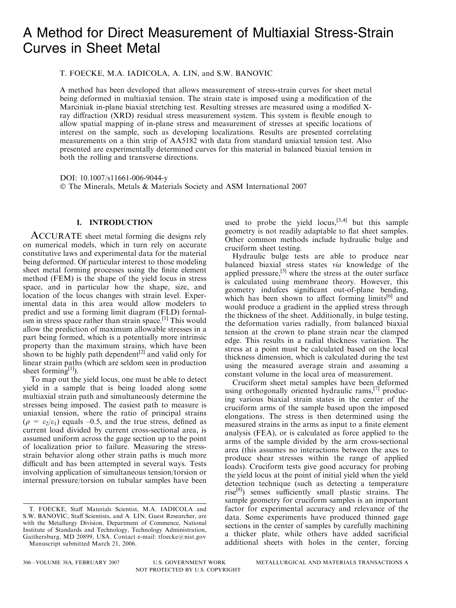# A Method for Direct Measurement of Multiaxial Stress-Strain Curves in Sheet Metal

T. FOECKE, M.A. IADICOLA, A. LIN, and S.W. BANOVIC

A method has been developed that allows measurement of stress-strain curves for sheet metal being deformed in multiaxial tension. The strain state is imposed using a modification of the Marciniak in-plane biaxial stretching test. Resulting stresses are measured using a modified Xray diffraction (XRD) residual stress measurement system. This system is flexible enough to allow spatial mapping of in-plane stress and measurement of stresses at specific locations of interest on the sample, such as developing localizations. Results are presented correlating measurements on a thin strip of AA5182 with data from standard uniaxial tension test. Also presented are experimentally determined curves for this material in balanced biaxial tension in both the rolling and transverse directions.

DOI: 10.1007/s11661-006-9044-y

The Minerals, Metals & Materials Society and ASM International 2007

### I. INTRODUCTION

ACCURATE sheet metal forming die designs rely on numerical models, which in turn rely on accurate constitutive laws and experimental data for the material being deformed. Of particular interest to those modeling sheet metal forming processes using the finite element method (FEM) is the shape of the yield locus in stress space, and in particular how the shape, size, and location of the locus changes with strain level. Experimental data in this area would allow modelers to predict and use a forming limit diagram (FLD) formalism in stress space rather than strain space.<sup>[1]</sup> This would allow the prediction of maximum allowable stresses in a part being formed, which is a potentially more intrinsic property than the maximum strains, which have been shown to be highly path dependent<sup>[2]</sup> and valid only for linear strain paths (which are seldom seen in production sheet forming<sup>[1]</sup>).

To map out the yield locus, one must be able to detect yield in a sample that is being loaded along some multiaxial strain path and simultaneously determine the stresses being imposed. The easiest path to measure is uniaxial tension, where the ratio of principal strains  $(\rho = \varepsilon_2/\varepsilon_1)$  equals –0.5, and the true stress, defined as current load divided by current cross-sectional area, is assumed uniform across the gage section up to the point of localization prior to failure. Measuring the stressstrain behavior along other strain paths is much more difficult and has been attempted in several ways. Tests involving application of simultaneous tension/torsion or internal pressure/torsion on tubular samples have been

Manuscript submitted March 21, 2006.

used to probe the yield  $locus$ ,  $[3,4]$  but this sample geometry is not readily adaptable to flat sheet samples. Other common methods include hydraulic bulge and cruciform sheet testing.

Hydraulic bulge tests are able to produce near balanced biaxial stress states via knowledge of the applied pressure,<sup>[5]</sup> where the stress at the outer surface is calculated using membrane theory. However, this geometry indufces significant out-of-plane bending, which has been shown to affect forming limits<sup>[6]</sup> and would produce a gradient in the applied stress through the thickness of the sheet. Additionally, in bulge testing, the deformation varies radially, from balanced biaxial tension at the crown to plane strain near the clamped edge. This results in a radial thickness variation. The stress at a point must be calculated based on the local thickness dimension, which is calculated during the test using the measured average strain and assuming a constant volume in the local area of measurement.

Cruciform sheet metal samples have been deformed using orthogonally oriented hydraulic rams,<sup>[7]</sup> producing various biaxial strain states in the center of the cruciform arms of the sample based upon the imposed elongations. The stress is then determined using the measured strains in the arms as input to a finite element analysis (FEA), or is calculated as force applied to the arms of the sample divided by the arm cross-sectional area (this assumes no interactions between the axes to produce shear stresses within the range of applied loads). Cruciform tests give good accuracy for probing the yield locus at the point of initial yield when the yield detection technique (such as detecting a temperature rise<sup>[8]</sup>) senses sufficiently small plastic strains. The sample geometry for cruciform samples is an important factor for experimental accuracy and relevance of the data. Some experiments have produced thinned gage sections in the center of samples by carefully machining a thicker plate, while others have added sacrificial additional sheets with holes in the center, forcing

T. FOECKE, Staff Materials Scientist, M.A. IADICOLA and S.W. BANOVIC, Staff Scientists, and A. LIN, Guest Researcher, are with the Metallurgy Division, Department of Commence, National Institute of Standards and Technology, Technology Administration, Gaithersburg, MD 20899, USA. Contact e-mail: tfoecke@nist.gov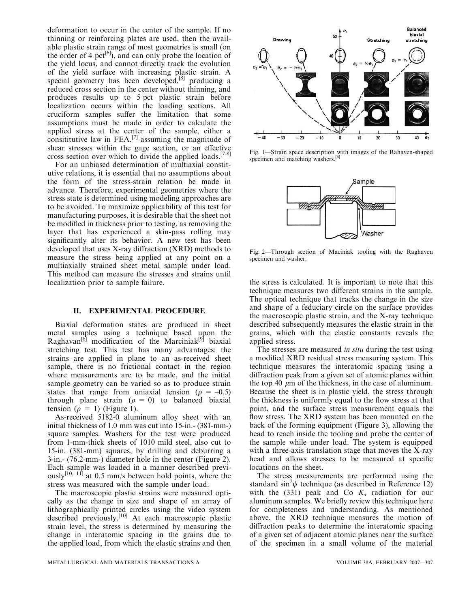deformation to occur in the center of the sample. If no thinning or reinforcing plates are used, then the available plastic strain range of most geometries is small (on the order of 4 pct $[6]$ , and can only probe the location of the yield locus, and cannot directly track the evolution of the yield surface with increasing plastic strain. A special geometry has been developed, $[8]$  producing a reduced cross section in the center without thinning, and produces results up to 5 pct plastic strain before localization occurs within the loading sections. All cruciform samples suffer the limitation that some assumptions must be made in order to calculate the applied stress at the center of the sample, either a consititutive law in  $FEA$ <sup>[7]</sup> assuming the magnitude of shear stresses within the gage section, or an effective cross section over which to divide the applied loads.<sup>[7,8]</sup>

For an unbiased determination of multiaxial constitutive relations, it is essential that no assumptions about the form of the stress-strain relation be made in advance. Therefore, experimental geometries where the stress state is determined using modeling approaches are to be avoided. To maximize applicability of this test for manufacturing purposes, it is desirable that the sheet not be modified in thickness prior to testing, as removing the layer that has experienced a skin-pass rolling may significantly alter its behavior. A new test has been developed that uses X-ray diffraction (XRD) methods to measure the stress being applied at any point on a multiaxially strained sheet metal sample under load. This method can measure the stresses and strains until localization prior to sample failure.

#### II. EXPERIMENTAL PROCEDURE

Biaxial deformation states are produced in sheet metal samples using a technique based upon the Raghavan<sup>[6]</sup> modification of the Marciniak<sup>[9]</sup> biaxial stretching test. This test has many advantages: the strains are applied in plane to an as-received sheet sample, there is no frictional contact in the region where measurements are to be made, and the initial sample geometry can be varied so as to produce strain states that range from uniaxial tension ( $\rho = -0.5$ ) through plane strain ( $\rho = 0$ ) to balanced biaxial tension ( $\rho = 1$ ) (Figure 1).

As-received 5182-0 aluminum alloy sheet with an initial thickness of 1.0 mm was cut into 15-in.- (381-mm-) square samples. Washers for the test were produced from 1-mm-thick sheets of 1010 mild steel, also cut to 15-in. (381-mm) squares, by drilling and deburring a 3-in.- (76.2-mm-) diameter hole in the center (Figure 2). Each sample was loaded in a manner described previ- $\frac{1}{\text{c} \cdot \text{c}}$  at 0.5 mm/s between hold points, where the stress was measured with the sample under load.

The macroscopic plastic strains were measured optically as the change in size and shape of an array of lithographically printed circles using the video system described previously.<sup>[10]</sup> At each macroscopic plastic strain level, the stress is determined by measuring the change in interatomic spacing in the grains due to the applied load, from which the elastic strains and then



Fig. 1—Strain space description with images of the Rahaven-shaped specimen and matching washers.<sup>[6]</sup>



Fig. 2—Through section of Maciniak tooling with the Raghaven specimen and washer.

the stress is calculated. It is important to note that this technique measures two different strains in the sample. The optical technique that tracks the change in the size and shape of a feduciary circle on the surface provides the macroscopic plastic strain, and the X-ray technique described subsequently measures the elastic strain in the grains, which with the elastic constants reveals the applied stress.

The stresses are measured in situ during the test using a modified XRD residual stress measuring system. This technique measures the interatomic spacing using a diffraction peak from a given set of atomic planes within the top 40  $\mu$ m of the thickness, in the case of aluminum. Because the sheet is in plastic yield, the stress through the thickness is uniformly equal to the flow stress at that point, and the surface stress measurement equals the flow stress. The XRD system has been mounted on the back of the forming equipment (Figure 3), allowing the head to reach inside the tooling and probe the center of the sample while under load. The system is equipped with a three-axis translation stage that moves the X-ray head and allows stresses to be measured at specific locations on the sheet.

The stress measurements are performed using the standard sin<sup>2</sup> $\psi$  technique (as described in Reference 12) with the (331) peak and Co  $K_{\alpha}$  radiation for our aluminum samples. We briefly review this technique here for completeness and understanding. As mentioned above, the XRD technique measures the motion of diffraction peaks to determine the interatomic spacing of a given set of adjacent atomic planes near the surface of the specimen in a small volume of the material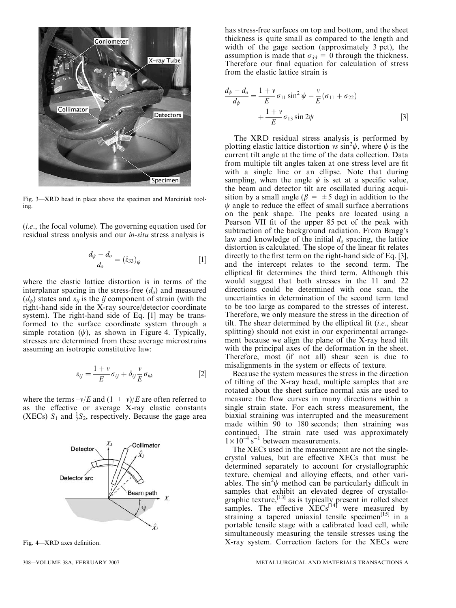

Fig. 3—XRD head in place above the specimen and Marciniak tooling.

(i.e., the focal volume). The governing equation used for residual stress analysis and our in-situ stress analysis is

$$
\frac{d_{\psi} - d_o}{d_o} = (\hat{\varepsilon}_{33})_{\psi} \tag{1}
$$

where the elastic lattice distortion is in terms of the interplanar spacing in the stress-free  $(d_o)$  and measured  $(d_{\psi})$  states and  $\varepsilon_{ij}$  is the *ij* component of strain (with the right-hand side in the X-ray source/detector coordinate system). The right-hand side of Eq. [1] may be transformed to the surface coordinate system through a simple rotation  $(\psi)$ , as shown in Figure 4. Typically, stresses are determined from these average microstrains assuming an isotropic constitutive law:

$$
\varepsilon_{ij} = \frac{1+\nu}{E} \sigma_{ij} + \delta_{ij} \frac{\nu}{E} \sigma_{kk}
$$
 [2]

where the terms  $-v/E$  and  $(1 + v)/E$  are often referred to as the effective or average X-ray elastic constants (XECs)  $S_1$  and  $\frac{1}{2}S_2$ , respectively. Because the gage area



Fig. 4—XRD axes definition.

has stress-free surfaces on top and bottom, and the sheet thickness is quite small as compared to the length and width of the gage section (approximately 3 pct), the assumption is made that  $\sigma_{33} = 0$  through the thickness. Therefore our final equation for calculation of stress from the elastic lattice strain is

$$
\frac{d_{\psi} - d_o}{d_{\psi}} = \frac{1 + \nu}{E} \sigma_{11} \sin^2 \psi - \frac{\nu}{E} (\sigma_{11} + \sigma_{22}) + \frac{1 + \nu}{E} \sigma_{13} \sin 2\psi
$$
 [3]

The XRD residual stress analysis is performed by plotting elastic lattice distortion vs  $\sin^2 \psi$ , where  $\psi$  is the current tilt angle at the time of the data collection. Data from multiple tilt angles taken at one stress level are fit with a single line or an ellipse. Note that during sampling, when the angle  $\psi$  is set at a specific value, the beam and detector tilt are oscillated during acquisition by a small angle ( $\beta = \pm 5$  deg) in addition to the  $\psi$  angle to reduce the effect of small surface aberrations on the peak shape. The peaks are located using a Pearson VII fit of the upper 85 pct of the peak with subtraction of the background radiation. From Bragg's law and knowledge of the initial  $d<sub>o</sub>$  spacing, the lattice distortion is calculated. The slope of the linear fit relates directly to the first term on the right-hand side of Eq. [3], and the intercept relates to the second term. The elliptical fit determines the third term. Although this would suggest that both stresses in the 11 and 22 directions could be determined with one scan, the uncertainties in determination of the second term tend to be too large as compared to the stresses of interest. Therefore, we only measure the stress in the direction of tilt. The shear determined by the elliptical fit  $(i.e., shear)$ splitting) should not exist in our experimental arrangement because we align the plane of the X-ray head tilt with the principal axes of the deformation in the sheet. Therefore, most (if not all) shear seen is due to misalignments in the system or effects of texture.

Because the system measures the stress in the direction of tilting of the X-ray head, multiple samples that are rotated about the sheet surface normal axis are used to measure the flow curves in many directions within a single strain state. For each stress measurement, the biaxial straining was interrupted and the measurement made within 90 to 180 seconds; then straining was continued. The strain rate used was approximately  $1 \times 10^{-4}$  s<sup>-1</sup> between measurements.

The XECs used in the measurement are not the singlecrystal values, but are effective XECs that must be determined separately to account for crystallographic texture, chemical and alloying effects, and other variables. The  $\sin^2\psi$  method can be particularly difficult in samples that exhibit an elevated degree of crystallographic texture,<sup>[13]</sup> as is typically present in rolled sheet samples. The effective  $XECs^{[14]}$  were measured by straining a tapered uniaxial tensile specimen<sup>[15]</sup> in a portable tensile stage with a calibrated load cell, while simultaneously measuring the tensile stresses using the X-ray system. Correction factors for the XECs were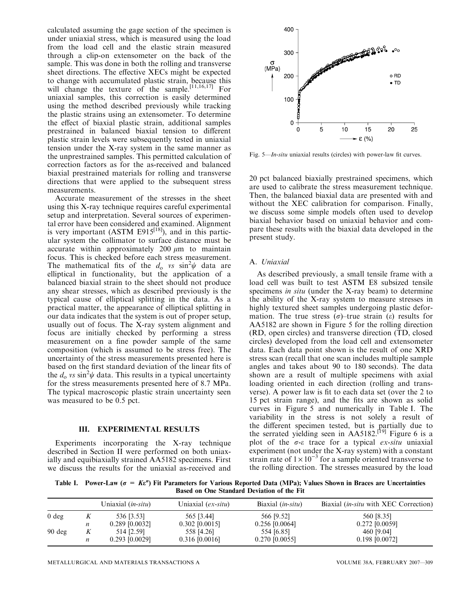calculated assuming the gage section of the specimen is under uniaxial stress, which is measured using the load from the load cell and the elastic strain measured through a clip-on extensometer on the back of the sample. This was done in both the rolling and transverse sheet directions. The effective XECs might be expected to change with accumulated plastic strain, because this will change the texture of the sample.<sup>[11,16,17]</sup> For uniaxial samples, this correction is easily determined using the method described previously while tracking the plastic strains using an extensometer. To determine the effect of biaxial plastic strain, additional samples prestrained in balanced biaxial tension to different plastic strain levels were subsequently tested in uniaxial tension under the X-ray system in the same manner as the unprestrained samples. This permitted calculation of correction factors as for the as-received and balanced biaxial prestrained materials for rolling and transverse directions that were applied to the subsequent stress measurements.

Accurate measurement of the stresses in the sheet using this X-ray technique requires careful experimental setup and interpretation. Several sources of experimental error have been considered and examined. Alignment is very important (ASTM E915 $^{[18]}$ ), and in this particular system the collimator to surface distance must be accurate within approximately 200  $\mu$ m to maintain focus. This is checked before each stress measurement. The mathematical fits of the  $d_0$  vs  $\sin^2 \psi$  data are elliptical in functionality, but the application of a balanced biaxial strain to the sheet should not produce any shear stresses, which as described previously is the typical cause of elliptical splitting in the data. As a practical matter, the appearance of elliptical splitting in our data indicates that the system is out of proper setup, usually out of focus. The X-ray system alignment and focus are initially checked by performing a stress measurement on a fine powder sample of the same composition (which is assumed to be stress free). The uncertainty of the stress measurements presented here is based on the first standard deviation of the linear fits of the  $d_0$  vs sin<sup>2</sup> $\psi$  data. This results in a typical uncertainty for the stress measurements presented here of 8.7 MPa. The typical macroscopic plastic strain uncertainty seen was measured to be 0.5 pct.

#### III. EXPERIMENTAL RESULTS

Experiments incorporating the X-ray technique described in Section II were performed on both uniaxially and equibiaxially strained AA5182 specimens. First we discuss the results for the uniaxial as-received and



Fig. 5—In-situ uniaxial results (circles) with power-law fit curves.

20 pct balanced biaxially prestrained specimens, which are used to calibrate the stress measurement technique. Then, the balanced biaxial data are presented with and without the XEC calibration for comparison. Finally, we discuss some simple models often used to develop biaxial behavior based on uniaxial behavior and compare these results with the biaxial data developed in the present study.

#### A. Uniaxial

As described previously, a small tensile frame with a load cell was built to test ASTM E8 subsized tensile specimens *in situ* (under the X-ray beam) to determine the ability of the X-ray system to measure stresses in highly textured sheet samples undergoing plastic deformation. The true stress  $(\sigma)$ –true strain ( $\varepsilon$ ) results for AA5182 are shown in Figure 5 for the rolling direction (RD, open circles) and transverse direction (TD, closed circles) developed from the load cell and extensometer data. Each data point shown is the result of one XRD stress scan (recall that one scan includes multiple sample angles and takes about 90 to 180 seconds). The data shown are a result of multiple specimens with axial loading oriented in each direction (rolling and transverse). A power law is fit to each data set (over the 2 to 15 pct strain range), and the fits are shown as solid curves in Figure 5 and numerically in Table I. The variability in the stress is not solely a result of the different specimen tested, but is partially due to the serrated yielding seen in AA5182.<sup>[19]</sup> Figure 6 is a plot of the  $\sigma$ - $\varepsilon$  trace for a typical ex-situ uniaxial experiment (not under the X-ray system) with a constant strain rate of  $1 \times 10^{-3}$  for a sample oriented transverse to the rolling direction. The stresses measured by the load

Table I. Power-Law ( $\sigma = K \epsilon^n$ ) Fit Parameters for Various Reported Data (MPa); Values Shown in Braces are Uncertainties Based on One Standard Deviation of the Fit

|                  |   | Uniaxial $(in-situ)$ | Uniaxial $(ex-situ)$ | Biaxial $(in-situ)$ | Biaxial <i>(in-situ with XEC Correction)</i> |
|------------------|---|----------------------|----------------------|---------------------|----------------------------------------------|
| $0 \text{ deg}$  |   | 536 [3.53]           | 565 [3.44]           | 566 [9.52]          | 560 [8.35]                                   |
|                  | n | $0.289$ [0.0032]     | $0.302$ [0.0015]     | $0.256$ [0.0064]    | $0.272$ [0.0059]                             |
| $90 \text{ deg}$ |   | 514 [2.59]           | 558 [4.26]           | 554 [6.85]          | 460 [9.04]                                   |
|                  | n | $0.293$ [0.0029]     | $0.316$ [0.0016]     | $0.270$ [0.0055]    | $0.198$ [0.0072]                             |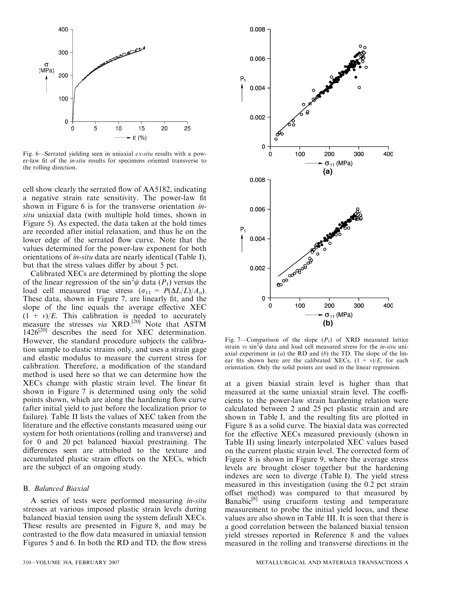

Fig. 6—Serrated yielding seen in uniaxial ex-situ results with a power-law fit of the in-situ results for specimens oriented transverse to the rolling direction.

cell show clearly the serrated flow of AA5182, indicating a negative strain rate sensitivity. The power-law fit shown in Figure 6 is for the transverse orientation *in*situ uniaxial data (with multiple hold times, shown in Figure 5). As expected, the data taken at the hold times are recorded after initial relaxation, and thus lie on the lower edge of the serrated flow curve. Note that the values determined for the power-law exponent for both orientations of in-situ data are nearly identical (Table I), but that the stress values differ by about 5 pct.

Calibrated XECs are determined by plotting the slope of the linear regression of the  $\sin^2\psi$  data (P<sub>1</sub>) versus the load cell measured true stress  $(\sigma_{11} = P(\Delta L/L)/A_o)$ . These data, shown in Figure 7, are linearly fit, and the slope of the line equals the average effective XEC  $(1 + v)/E$ . This calibration is needed to accurately measure the stresses via XRD.<sup>[20]</sup> Note that ASTM  $1426^{[20]}$  describes the need for XEC determination. However, the standard procedure subjects the calibration sample to elastic strains only, and uses a strain gage and elastic modulus to measure the current stress for calibration. Therefore, a modification of the standard method is used here so that we can determine how the XECs change with plastic strain level. The linear fit shown in Figure 7 is determined using only the solid points shown, which are along the hardening flow curve (after initial yield to just before the localization prior to failure). Table II lists the values of XEC taken from the literature and the effective constants measured using our system for both orientations (rolling and transverse) and for 0 and 20 pct balanced biaxial prestraining. The differences seen are attributed to the texture and accumulated plastic strain effects on the XECs, which are the subject of an ongoing study.

## B. Balanced Biaxial

A series of tests were performed measuring in-situ stresses at various imposed plastic strain levels during balanced biaxial tension using the system default XECs. These results are presented in Figure 8, and may be contrasted to the flow data measured in uniaxial tension Figures 5 and 6. In both the RD and TD, the flow stress



Fig. 7—Comparison of the slope  $(P_1)$  of XRD measured lattice strain vs sin<sup>2</sup> $\psi$  data and load cell measured stress for the *in-situ* uniaxial experiment in  $(a)$  the RD and  $(b)$  the TD. The slope of the linear fits shown here are the calibrated XECs,  $(1 + v)/E$ , for each orientation. Only the solid points are used in the linear regression.

at a given biaxial strain level is higher than that measured at the same uniaxial strain level. The coefficients to the power-law strain hardening relation were calculated between 2 and 25 pct plastic strain and are shown in Table I, and the resulting fits are plotted in Figure 8 as a solid curve. The biaxial data was corrected for the effective XECs measured previously (shown in Table II) using linearly interpolated XEC values based on the current plastic strain level. The corrected form of Figure 8 is shown in Figure 9, where the average stress levels are brought closer together but the hardening indexes are seen to diverge (Table I). The yield stress measured in this investigation (using the 0.2 pct strain offset method) was compared to that measured by Banabic<sup>[8]</sup> using cruciform testing and temperature measurement to probe the initial yield locus, and these values are also shown in Table III. It is seen that there is a good correlation between the balanced biaxial tension yield stresses reported in Reference 8 and the values measured in the rolling and transverse directions in the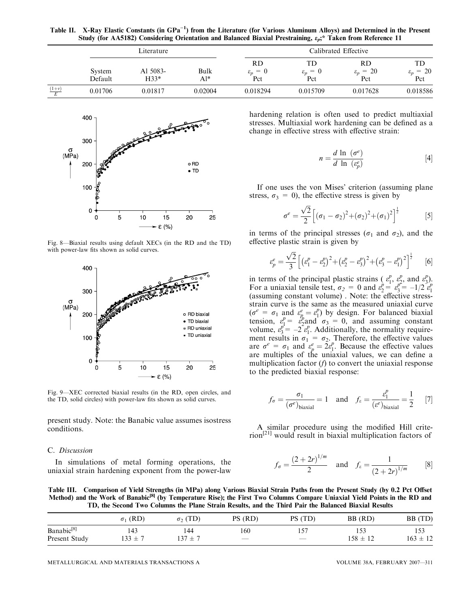Table II. X-Ray Elastic Constants (in GPa<sup>-1</sup>) from the Literature (for Various Aluminum Alloys) and Determined in the Present Study (for AA5182) Considering Orientation and Balanced Biaxial Prestraining,  $\varepsilon_p$ ;\* Taken from Reference 11

|         | Literature        |                    |                |                                                        | Calibrated Effective                   |                                   |                                          |  |
|---------|-------------------|--------------------|----------------|--------------------------------------------------------|----------------------------------------|-----------------------------------|------------------------------------------|--|
|         | System<br>Default | Al 5083-<br>$H33*$ | Bulk<br>$Al^*$ | <b>RD</b><br>$\!\!\!=\!\!\!$<br>$\varepsilon_n$<br>Pct | TD.<br>$= 0$<br>$\varepsilon_n$<br>Pct | RD<br>$\varepsilon_p = 20$<br>Pct | TD<br>$= 20$<br>$\varepsilon_{n}$<br>Pct |  |
| $(1+v)$ | 0.01706           | 0.01817            | 0.02004        | 0.018294                                               | 0.015709                               | 0.017628                          | 0.018586                                 |  |



Fig. 8—Biaxial results using default XECs (in the RD and the TD) with power-law fits shown as solid curves.



Fig. 9—XEC corrected biaxial results (in the RD, open circles, and the TD, solid circles) with power-law fits shown as solid curves.

present study. Note: the Banabic value assumes isostress conditions.

## C. Discussion

In simulations of metal forming operations, the uniaxial strain hardening exponent from the power-law hardening relation is often used to predict multiaxial stresses. Multiaxial work hardening can be defined as a change in effective stress with effective strain:

$$
n = \frac{d \ln \left(\sigma^e\right)}{d \ln \left(\varepsilon_p^e\right)}\tag{4}
$$

If one uses the von Mises' criterion (assuming plane stress,  $\sigma_3 = 0$ ), the effective stress is given by

$$
\sigma^{e} = \frac{\sqrt{2}}{2} \left[ (\sigma_{1} - \sigma_{2})^{2} + (\sigma_{2})^{2} + (\sigma_{1})^{2} \right]^{\frac{1}{2}}
$$
 [5]

in terms of the principal stresses ( $\sigma_1$  and  $\sigma_2$ ), and the effective plastic strain is given by

$$
\varepsilon_p^e = \frac{\sqrt{2}}{3} \left[ \left( \varepsilon_1^p - \varepsilon_2^p \right)^2 + \left( \varepsilon_2^p - \varepsilon_3^p \right)^2 + \left( \varepsilon_3^p - \varepsilon_1^p \right)^2 \right]^{\frac{1}{2}} \tag{6}
$$

in terms of the principal plastic strains ( $\varepsilon_1^p$ ,  $\varepsilon_2^p$ , and  $\varepsilon_3^p$ ). For a uniaxial tensile test,  $\sigma_2 = 0$  and  $\varepsilon_2^p = \varepsilon_3^{p^2} = -1/2 \varepsilon_1^p$  (assuming constant volume). Note: the effective stressstrain curve is the same as the measured uniaxial curve  $(\sigma^e = \sigma_1 \text{ and } \varepsilon^e_{p} = \varepsilon^p_1)$  by design. For balanced biaxial tension,  $\varepsilon_1^p = \varepsilon_2^p$  and  $\sigma_3 = 0$ , and assuming constant volume,  $\varepsilon_3^{p^1} = -2 \varepsilon_1^p$ . Additionally, the normality requirement results in  $\sigma_1 = \sigma_2$ . Therefore, the effective values are  $\sigma^e = \sigma_1$  and  $\varepsilon^e_p = 2\varepsilon^p_1$ . Because the effective values are multiples of the uniaxial values, we can define a multiplication factor  $(f)$  to convert the uniaxial response to the predicted biaxial response:

$$
f_{\sigma} = \frac{\sigma_1}{(\sigma^e)_{\text{biaxial}}} = 1
$$
 and  $f_{\varepsilon} = \frac{\varepsilon_1^p}{(\varepsilon^e)_{\text{biaxial}}} = \frac{1}{2}$  [7]

A similar procedure using the modified Hill criterion[21] would result in biaxial multiplication factors of

$$
f_{\sigma} = \frac{(2+2r)^{1/m}}{2}
$$
 and  $f_{\varepsilon} = \frac{1}{(2+2r)^{1/m}}$  [8]

Table III. Comparison of Yield Strengths (in MPa) along Various Biaxial Strain Paths from the Present Study (by 0.2 Pct Offset Method) and the Work of Banabic<sup>[8]</sup> (by Temperature Rise); the First Two Columns Compare Uniaxial Yield Points in the RD and TD, the Second Two Columns the Plane Strain Results, and the Third Pair the Balanced Biaxial Results

|                        | $\sigma_1$ (RD) | $\sigma$ <sub>2</sub> (TD) | PS (RD)           | (TD)<br>PS ( | BB (RD)      | BB (TD)      |
|------------------------|-----------------|----------------------------|-------------------|--------------|--------------|--------------|
| Banabic <sup>[8]</sup> | 143             | 144                        | 160               |              |              | 153          |
| Present Study          | $133 \pm$       | . 37<br>$_{+}$             | $\hspace{0.05cm}$ |              | $158 \pm 12$ | $163 \pm 12$ |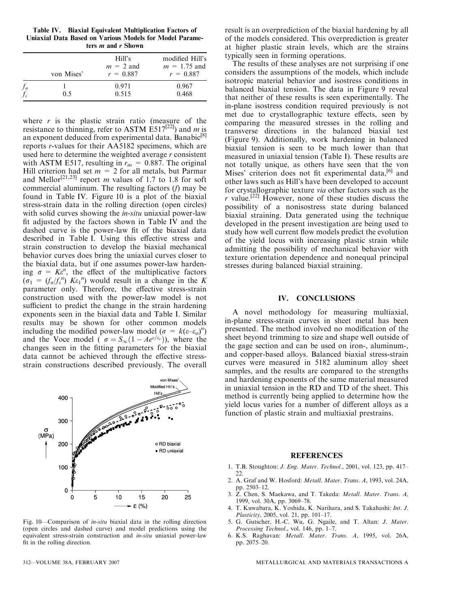Table IV. Biaxial Equivalent Multiplication Factors of Uniaxial Data Based on Various Models for Model Parameters m and r Shown

where  $r$  is the plastic strain ratio (measure of the resistance to thinning, refer to ASTM E517<sup>[22]</sup>) and m is an exponent deduced from experimental data. Banabic<sup>[8]</sup> reports r-values for their AA5182 specimens, which are used here to determine the weighted average  $r$  consistent with ASTM E517, resulting in  $r_m = 0.887$ . The original Hill criterion had set  $m = 2$  for all metals, but Parmar and Mellor<sup>[21,23]</sup> report *m* values of 1.7 to 1.8 for soft commercial aluminum. The resulting factors (f) may be found in Table IV. Figure 10 is a plot of the biaxial stress-strain data in the rolling direction (open circles) with solid curves showing the *in-situ* uniaxial power-law fit adjusted by the factors shown in Table IV and the dashed curve is the power-law fit of the biaxial data described in Table I. Using this effective stress and strain construction to develop the biaxial mechanical behavior curves does bring the uniaxial curves closer to the biaxial data, but if one assumes power-law hardening  $\sigma = K\varepsilon^n$ , the effect of the multiplicative factors  $(\sigma_1 = (f_{\sigma}/f_{\varepsilon}^n)$  K $\varepsilon_1$ <sup>n</sup>) would result in a change in the K parameter only. Therefore, the effective stress-strain construction used with the power-law model is not sufficient to predict the change in the strain hardening exponents seen in the biaxial data and Table I. Similar results may be shown for other common models including the modified power-law model ( $\sigma = k(\epsilon - \epsilon_0)^n$ ) and the Voce model (  $\sigma = S_{\infty}(1 - Ae^{\epsilon/\epsilon_c})$ ), where the changes seen in the fitting parameters for the biaxial data cannot be achieved through the effective stressstrain constructions described previously. The overall



Fig. 10—Comparison of in-situ biaxial data in the rolling direction (open circles and dashed curve) and model predictions using the equivalent stress-strain construction and in-situ uniaxial power-law fit in the rolling direction.

result is an overprediction of the biaxial hardening by all of the models considered. This overprediction is greater at higher plastic strain levels, which are the strains typically seen in forming operations.

The results of these analyses are not surprising if one considers the assumptions of the models, which include isotropic material behavior and isostress conditions in balanced biaxial tension. The data in Figure 9 reveal that neither of these results is seen experimentally. The in-plane isostress condition required previously is not met due to crystallographic texture effects, seen by comparing the measured stresses in the rolling and transverse directions in the balanced biaxial test (Figure 9). Additionally, work hardening in balanced biaxial tension is seen to be much lower than that measured in uniaxial tension (Table I). These results are not totally unique, as others have seen that the von Mises' criterion does not fit experimental data,<sup>[6]</sup> and other laws such as Hill's have been developed to account for crystallographic texture via other factors such as the r value.<sup>[22]</sup> However, none of these studies discuss the possibility of a nonisostress state during balanced biaxial straining. Data generated using the technique developed in the present investigation are being used to study how well current flow models predict the evolution of the yield locus with increasing plastic strain while admitting the possibility of mechanical behavior with texture orientation dependence and nonequal principal stresses during balanced biaxial straining.

## IV. CONCLUSIONS

A novel methodology for measuring multiaxial, in-plane stress-strain curves in sheet metal has been presented. The method involved no modification of the sheet beyond trimming to size and shape well outside of the gage section and can be used on iron-, aluminum-, and copper-based alloys. Balanced biaxial stress-strain curves were measured in 5182 aluminum alloy sheet samples, and the results are compared to the strengths and hardening exponents of the same material measured in uniaxial tension in the RD and TD of the sheet. This method is currently being applied to determine how the yield locus varies for a number of different alloys as a function of plastic strain and multiaxial prestrains.

## REFERENCES

- 1. T.B. Stoughton: J. Eng. Mater. Technol., 2001, vol. 123, pp. 417– 22.
- 2. A. Graf and W. Hosford: Metall. Mater. Trans. A, 1993, vol. 24A, pp. 2503–12.
- 3. Z. Chen, S. Maekawa, and T. Takeda: Metall. Mater. Trans. A, 1999, vol. 30A, pp. 3069–78.
- 4. T. Kuwabara, K. Yoshida, K. Narihara, and S. Takahashi: Int. J. Plasticity, 2005, vol. 21, pp. 101–17.
- 5. G. Gutscher, H.-C. Wu, G. Ngaile, and T. Altan: J. Mater. Processing Technol., vol. 146, pp. 1–7.
- 6. K.S. Raghavan: Metall. Mater. Trans. A, 1995, vol. 26A, pp. 2075–20.